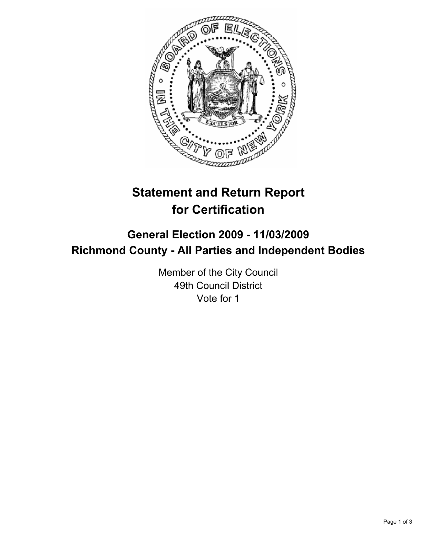

# **Statement and Return Report for Certification**

## **General Election 2009 - 11/03/2009 Richmond County - All Parties and Independent Bodies**

Member of the City Council 49th Council District Vote for 1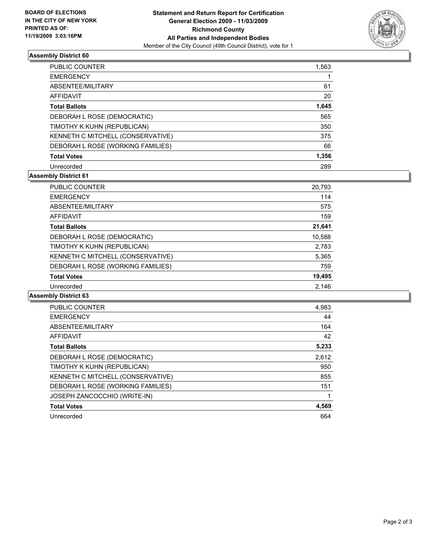

### **Assembly District 60**

| <b>PUBLIC COUNTER</b>             | 1,563 |
|-----------------------------------|-------|
| <b>EMERGENCY</b>                  |       |
| ABSENTEE/MILITARY                 | 61    |
| AFFIDAVIT                         | 20    |
| <b>Total Ballots</b>              | 1,645 |
| DEBORAH L ROSE (DEMOCRATIC)       | 565   |
| TIMOTHY K KUHN (REPUBLICAN)       | 350   |
| KENNETH C MITCHELL (CONSERVATIVE) | 375   |
| DEBORAH L ROSE (WORKING FAMILIES) | 66    |
| <b>Total Votes</b>                | 1,356 |
| Unrecorded                        | 289   |

#### **Assembly District 61**

| <b>PUBLIC COUNTER</b>             | 20,793 |
|-----------------------------------|--------|
| <b>EMERGENCY</b>                  | 114    |
| ABSENTEE/MILITARY                 | 575    |
| <b>AFFIDAVIT</b>                  | 159    |
| <b>Total Ballots</b>              | 21,641 |
| DEBORAH L ROSE (DEMOCRATIC)       | 10,588 |
| TIMOTHY K KUHN (REPUBLICAN)       | 2,783  |
| KENNETH C MITCHELL (CONSERVATIVE) | 5,365  |
| DEBORAH L ROSE (WORKING FAMILIES) | 759    |
| <b>Total Votes</b>                | 19,495 |
| Unrecorded                        | 2.146  |
|                                   |        |

#### **Assembly District 63**

| <b>PUBLIC COUNTER</b>               | 4,983 |
|-------------------------------------|-------|
| <b>EMERGENCY</b>                    | 44    |
| ABSENTEE/MILITARY                   | 164   |
| <b>AFFIDAVIT</b>                    | 42    |
| <b>Total Ballots</b>                | 5,233 |
| DEBORAH L ROSE (DEMOCRATIC)         | 2,612 |
| TIMOTHY K KUHN (REPUBLICAN)         | 950   |
| KENNETH C MITCHELL (CONSERVATIVE)   | 855   |
| DEBORAH L ROSE (WORKING FAMILIES)   | 151   |
| <b>JOSEPH ZANCOCCHIO (WRITE-IN)</b> |       |
| <b>Total Votes</b>                  | 4,569 |
| Unrecorded                          | 664   |